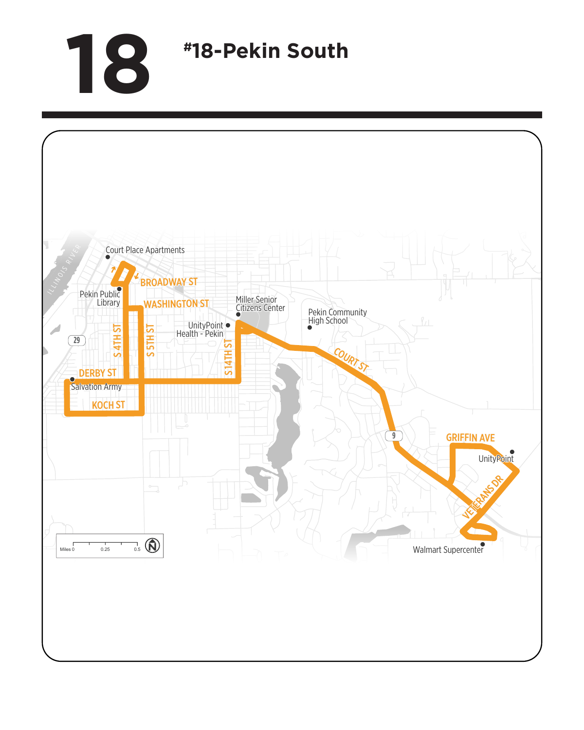## **18 #18-Pekin South**